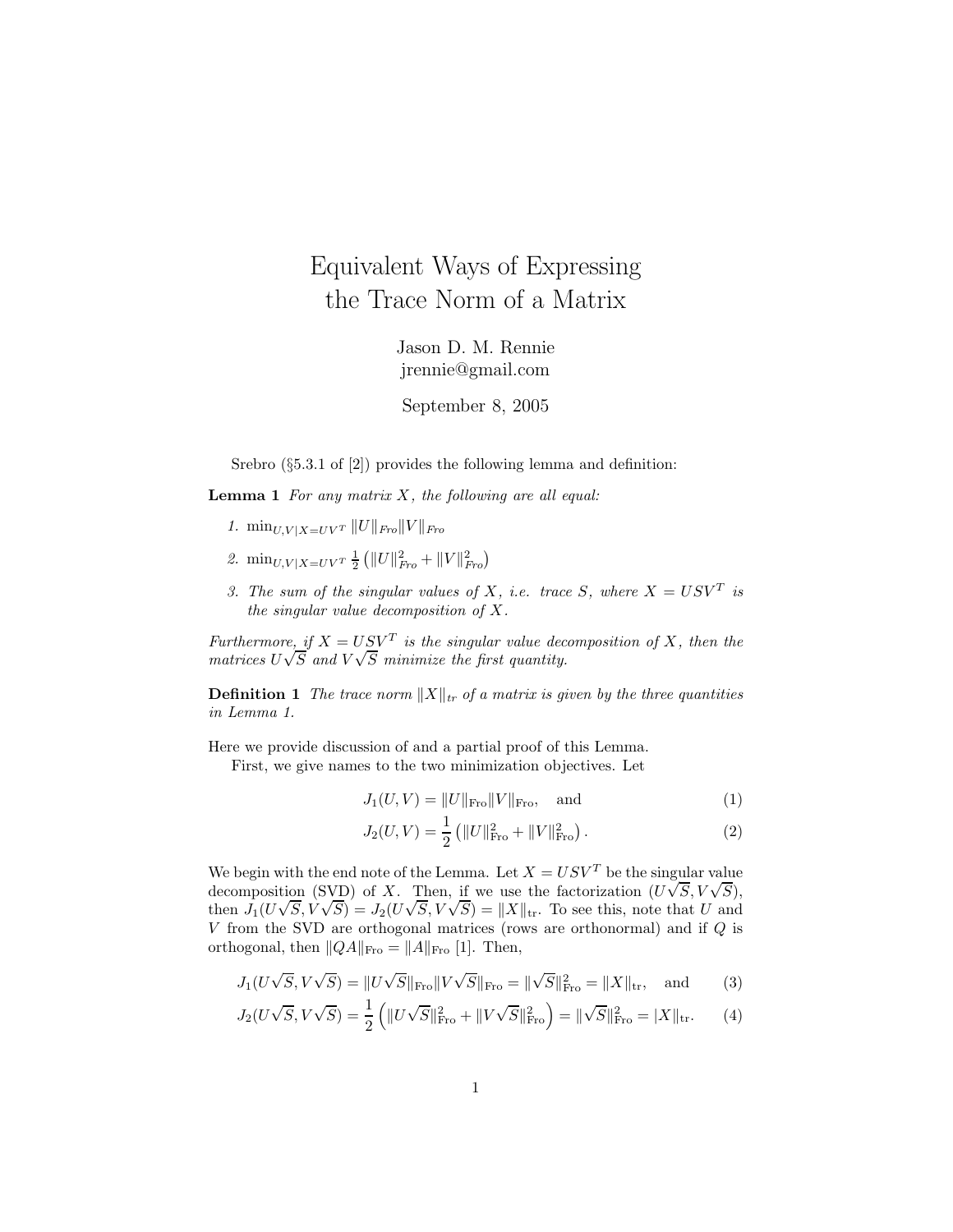## Equivalent Ways of Expressing the Trace Norm of a Matrix

Jason D. M. Rennie jrennie@gmail.com

September 8, 2005

Srebro ( $\S 5.3.1$  of [2]) provides the following lemma and definition:

**Lemma 1** For any matrix  $X$ , the following are all equal:

- 1.  $\min_{U, V | X = UV^T} ||U||_{Fro} ||V||_{Fro}$
- 2.  $\min_{U,V|X=UV^T} \frac{1}{2} (||U||_{Fro}^2 + ||V||_{Fro}^2)$
- 3. The sum of the singular values of X, i.e. trace S, where  $X = USV<sup>T</sup>$  is the singular value decomposition of  $X$ .

Furthermore, if  $X = USV<sup>T</sup>$  is the singular value decomposition of X, then the matrices  $U\sqrt{S}$  and  $V\sqrt{S}$  minimize the first quantity.

**Definition 1** The trace norm  $||X||_{tr}$  of a matrix is given by the three quantities in Lemma 1.

Here we provide discussion of and a partial proof of this Lemma.

First, we give names to the two minimization objectives. Let

$$
J_1(U, V) = ||U||_{\text{Fro}} ||V||_{\text{Fro}}, \text{ and } (1)
$$

$$
J_2(U,V) = \frac{1}{2} (||U||_{\text{Fro}}^2 + ||V||_{\text{Fro}}^2).
$$
 (2)

We begin with the end note of the Lemma. Let  $X = USV<sup>T</sup>$  be the singular value decomposition (SVD) of X. Then, if we use the factorization  $(U\sqrt{S}, V\sqrt{S})$ , then  $J_1(U\sqrt{S}, V\sqrt{S}) = J_2(U\sqrt{S}, V\sqrt{S}) = ||X||_{tr}$ . To see this, note that U and V from the SVD are orthogonal matrices (rows are orthonormal) and if Q is orthogonal, then  $||QA||_{\text{Fro}} = ||A||_{\text{Fro}}$  [1]. Then,

$$
J_1(U\sqrt{S}, V\sqrt{S}) = ||U\sqrt{S}||_{\text{Fro}}||V\sqrt{S}||_{\text{Fro}} = ||\sqrt{S}||_{\text{Fro}}^2 = ||X||_{\text{tr}}, \text{ and } (3)
$$

$$
J_2(U\sqrt{S}, V\sqrt{S}) = \frac{1}{2} \left( \|U\sqrt{S}\|_{\text{Fro}}^2 + \|V\sqrt{S}\|_{\text{Fro}}^2 \right) = \|\sqrt{S}\|_{\text{Fro}}^2 = |X\|_{\text{tr}}.\tag{4}
$$